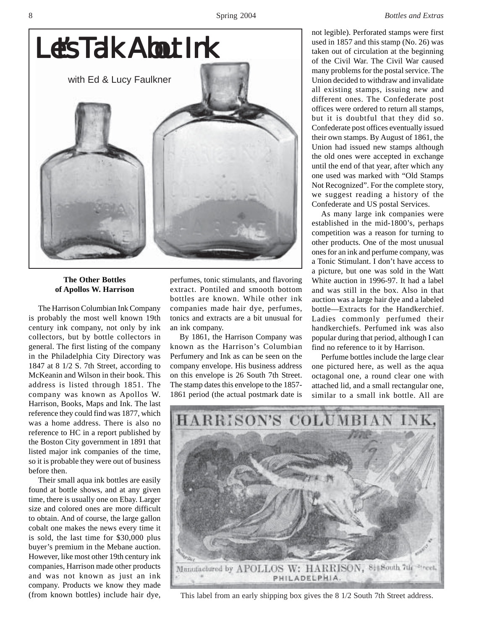

## **The Other Bottles of Apollos W. Harrison**

The Harrison Columbian Ink Company is probably the most well known 19th century ink company, not only by ink collectors, but by bottle collectors in general. The first listing of the company in the Philadelphia City Directory was 1847 at 8 1/2 S. 7th Street, according to McKeanin and Wilson in their book. This address is listed through 1851. The company was known as Apollos W. Harrison, Books, Maps and Ink. The last reference they could find was 1877, which was a home address. There is also no reference to HC in a report published by the Boston City government in 1891 that listed major ink companies of the time, so it is probable they were out of business before then.

Their small aqua ink bottles are easily found at bottle shows, and at any given time, there is usually one on Ebay. Larger size and colored ones are more difficult to obtain. And of course, the large gallon cobalt one makes the news every time it is sold, the last time for \$30,000 plus buyer's premium in the Mebane auction. However, like most other 19th century ink companies, Harrison made other products and was not known as just an ink company. Products we know they made (from known bottles) include hair dye,

perfumes, tonic stimulants, and flavoring extract. Pontiled and smooth bottom bottles are known. While other ink companies made hair dye, perfumes, tonics and extracts are a bit unusual for an ink company.

By 1861, the Harrison Company was known as the Harrison's Columbian Perfumery and Ink as can be seen on the company envelope. His business address on this envelope is 26 South 7th Street. The stamp dates this envelope to the 1857- 1861 period (the actual postmark date is not legible). Perforated stamps were first used in 1857 and this stamp (No. 26) was taken out of circulation at the beginning of the Civil War. The Civil War caused many problems for the postal service. The Union decided to withdraw and invalidate all existing stamps, issuing new and different ones. The Confederate post offices were ordered to return all stamps, but it is doubtful that they did so. Confederate post offices eventually issued their own stamps. By August of 1861, the Union had issued new stamps although the old ones were accepted in exchange until the end of that year, after which any one used was marked with "Old Stamps Not Recognized". For the complete story, we suggest reading a history of the Confederate and US postal Services.

As many large ink companies were established in the mid-1800's, perhaps competition was a reason for turning to other products. One of the most unusual ones for an ink and perfume company, was a Tonic Stimulant. I don't have access to a picture, but one was sold in the Watt White auction in 1996-97. It had a label and was still in the box. Also in that auction was a large hair dye and a labeled bottle—Extracts for the Handkerchief. Ladies commonly perfumed their handkerchiefs. Perfumed ink was also popular during that period, although I can find no reference to it by Harrison.

Perfume bottles include the large clear one pictured here, as well as the aqua octagonal one, a round clear one with attached lid, and a small rectangular one, similar to a small ink bottle. All are



This label from an early shipping box gives the 8 1/2 South 7th Street address.